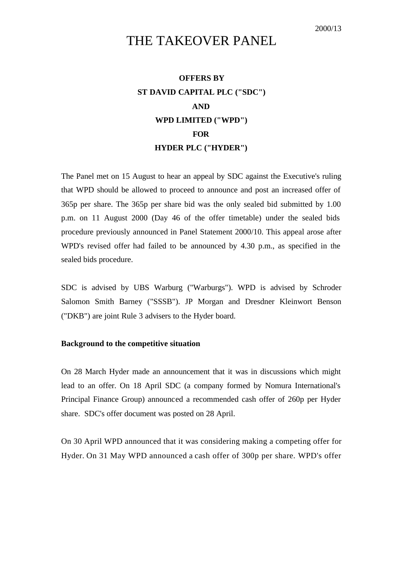# THE TAKEOVER PANEL

# **OFFERS BY ST DAVID CAPITAL PLC ("SDC") AND WPD LIMITED ("WPD") FOR HYDER PLC ("HYDER")**

The Panel met on 15 August to hear an appeal by SDC against the Executive's ruling that WPD should be allowed to proceed to announce and post an increased offer of 365p per share. The 365p per share bid was the only sealed bid submitted by 1.00 p.m. on 11 August 2000 (Day 46 of the offer timetable) under the sealed bids procedure previously announced in Panel Statement 2000/10. This appeal arose after WPD's revised offer had failed to be announced by 4.30 p.m., as specified in the sealed bids procedure.

SDC is advised by UBS Warburg ("Warburgs"). WPD is advised by Schroder Salomon Smith Barney ("SSSB"). JP Morgan and Dresdner Kleinwort Benson ("DKB") are joint Rule 3 advisers to the Hyder board.

## **Background to the competitive situation**

On 28 March Hyder made an announcement that it was in discussions which might lead to an offer. On 18 April SDC (a company formed by Nomura International's Principal Finance Group) announced a recommended cash offer of 260p per Hyder share. SDC's offer document was posted on 28 April.

On 30 April WPD announced that it was considering making a competing offer for Hyder. On 31 May WPD announced a cash offer of 300p per share. WPD's offer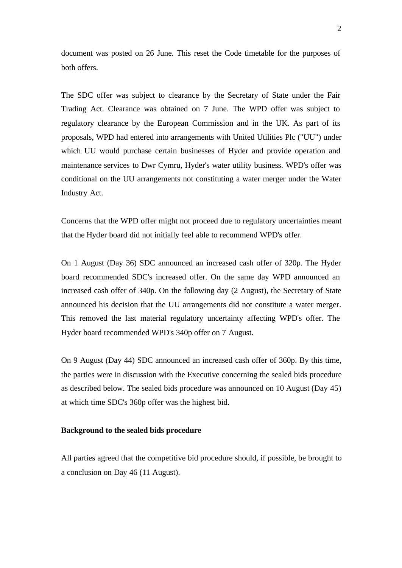document was posted on 26 June. This reset the Code timetable for the purposes of both offers.

The SDC offer was subject to clearance by the Secretary of State under the Fair Trading Act. Clearance was obtained on 7 June. The WPD offer was subject to regulatory clearance by the European Commission and in the UK. As part of its proposals, WPD had entered into arrangements with United Utilities Plc ("UU") under which UU would purchase certain businesses of Hyder and provide operation and maintenance services to Dwr Cymru, Hyder's water utility business. WPD's offer was conditional on the UU arrangements not constituting a water merger under the Water Industry Act.

Concerns that the WPD offer might not proceed due to regulatory uncertainties meant that the Hyder board did not initially feel able to recommend WPD's offer.

On 1 August (Day 36) SDC announced an increased cash offer of 320p. The Hyder board recommended SDC's increased offer. On the same day WPD announced an increased cash offer of 340p. On the following day (2 August), the Secretary of State announced his decision that the UU arrangements did not constitute a water merger. This removed the last material regulatory uncertainty affecting WPD's offer. The Hyder board recommended WPD's 340p offer on 7 August.

On 9 August (Day 44) SDC announced an increased cash offer of 360p. By this time, the parties were in discussion with the Executive concerning the sealed bids procedure as described below. The sealed bids procedure was announced on 10 August (Day 45) at which time SDC's 360p offer was the highest bid.

#### **Background to the sealed bids procedure**

All parties agreed that the competitive bid procedure should, if possible, be brought to a conclusion on Day 46 (11 August).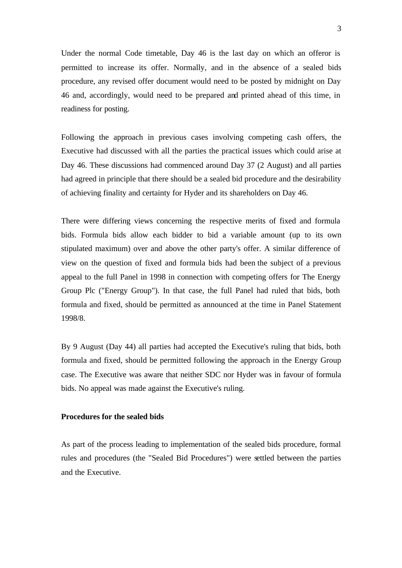Under the normal Code timetable, Day 46 is the last day on which an offeror is permitted to increase its offer. Normally, and in the absence of a sealed bids procedure, any revised offer document would need to be posted by midnight on Day 46 and, accordingly, would need to be prepared and printed ahead of this time, in readiness for posting.

Following the approach in previous cases involving competing cash offers, the Executive had discussed with all the parties the practical issues which could arise at Day 46. These discussions had commenced around Day 37 (2 August) and all parties had agreed in principle that there should be a sealed bid procedure and the desirability of achieving finality and certainty for Hyder and its shareholders on Day 46.

There were differing views concerning the respective merits of fixed and formula bids. Formula bids allow each bidder to bid a variable amount (up to its own stipulated maximum) over and above the other party's offer. A similar difference of view on the question of fixed and formula bids had been the subject of a previous appeal to the full Panel in 1998 in connection with competing offers for The Energy Group Plc ("Energy Group"). In that case, the full Panel had ruled that bids, both formula and fixed, should be permitted as announced at the time in Panel Statement 1998/8.

By 9 August (Day 44) all parties had accepted the Executive's ruling that bids, both formula and fixed, should be permitted following the approach in the Energy Group case. The Executive was aware that neither SDC nor Hyder was in favour of formula bids. No appeal was made against the Executive's ruling.

# **Procedures for the sealed bids**

As part of the process leading to implementation of the sealed bids procedure, formal rules and procedures (the "Sealed Bid Procedures") were settled between the parties and the Executive.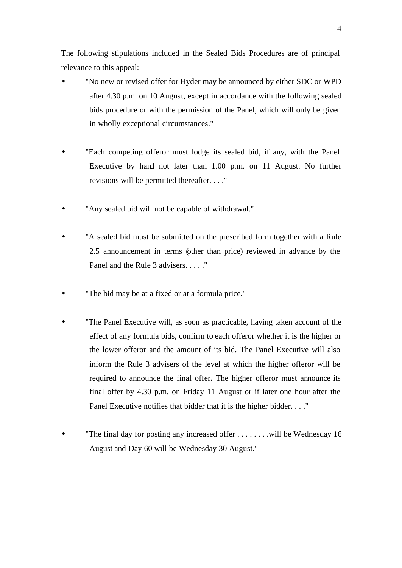The following stipulations included in the Sealed Bids Procedures are of principal relevance to this appeal:

- "No new or revised offer for Hyder may be announced by either SDC or WPD after 4.30 p.m. on 10 August, except in accordance with the following sealed bids procedure or with the permission of the Panel, which will only be given in wholly exceptional circumstances."
- "Each competing offeror must lodge its sealed bid, if any, with the Panel Executive by hand not later than 1.00 p.m. on 11 August. No further revisions will be permitted thereafter. . . ."
- "Any sealed bid will not be capable of withdrawal."
- "A sealed bid must be submitted on the prescribed form together with a Rule 2.5 announcement in terms (other than price) reviewed in advance by the Panel and the Rule 3 advisers. . . . ."
- "The bid may be at a fixed or at a formula price."
- "The Panel Executive will, as soon as practicable, having taken account of the effect of any formula bids, confirm to each offeror whether it is the higher or the lower offeror and the amount of its bid. The Panel Executive will also inform the Rule 3 advisers of the level at which the higher offeror will be required to announce the final offer. The higher offeror must announce its final offer by 4.30 p.m. on Friday 11 August or if later one hour after the Panel Executive notifies that bidder that it is the higher bidder. . . ."
- "The final day for posting any increased offer  $\dots \dots$  will be Wednesday 16 August and Day 60 will be Wednesday 30 August."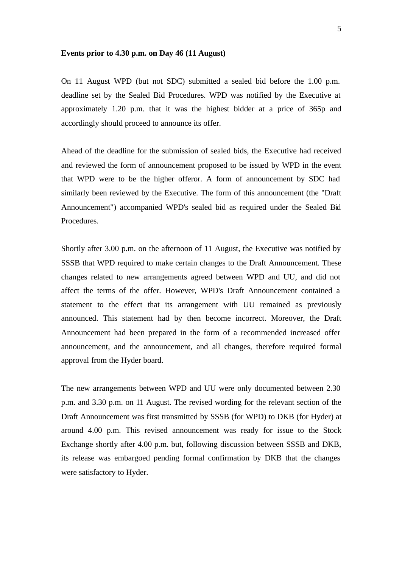#### **Events prior to 4.30 p.m. on Day 46 (11 August)**

On 11 August WPD (but not SDC) submitted a sealed bid before the 1.00 p.m. deadline set by the Sealed Bid Procedures. WPD was notified by the Executive at approximately 1.20 p.m. that it was the highest bidder at a price of 365p and accordingly should proceed to announce its offer.

Ahead of the deadline for the submission of sealed bids, the Executive had received and reviewed the form of announcement proposed to be issued by WPD in the event that WPD were to be the higher offeror. A form of announcement by SDC had similarly been reviewed by the Executive. The form of this announcement (the "Draft Announcement") accompanied WPD's sealed bid as required under the Sealed Bid Procedures.

Shortly after 3.00 p.m. on the afternoon of 11 August, the Executive was notified by SSSB that WPD required to make certain changes to the Draft Announcement. These changes related to new arrangements agreed between WPD and UU, and did not affect the terms of the offer. However, WPD's Draft Announcement contained a statement to the effect that its arrangement with UU remained as previously announced. This statement had by then become incorrect. Moreover, the Draft Announcement had been prepared in the form of a recommended increased offer announcement, and the announcement, and all changes, therefore required formal approval from the Hyder board.

The new arrangements between WPD and UU were only documented between 2.30 p.m. and 3.30 p.m. on 11 August. The revised wording for the relevant section of the Draft Announcement was first transmitted by SSSB (for WPD) to DKB (for Hyder) at around 4.00 p.m. This revised announcement was ready for issue to the Stock Exchange shortly after 4.00 p.m. but, following discussion between SSSB and DKB, its release was embargoed pending formal confirmation by DKB that the changes were satisfactory to Hyder.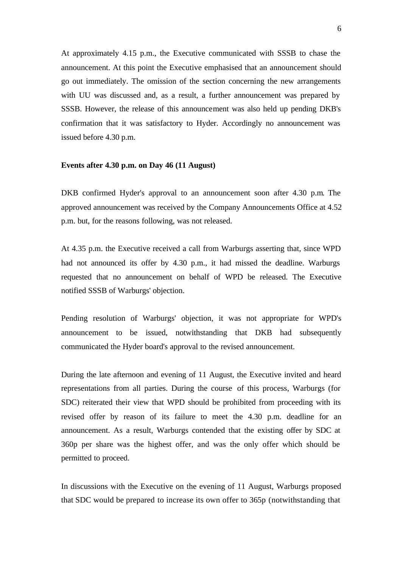At approximately 4.15 p.m., the Executive communicated with SSSB to chase the announcement. At this point the Executive emphasised that an announcement should go out immediately. The omission of the section concerning the new arrangements with UU was discussed and, as a result, a further announcement was prepared by SSSB. However, the release of this announcement was also held up pending DKB's confirmation that it was satisfactory to Hyder. Accordingly no announcement was issued before 4.30 p.m.

### **Events after 4.30 p.m. on Day 46 (11 August)**

DKB confirmed Hyder's approval to an announcement soon after 4.30 p.m. The approved announcement was received by the Company Announcements Office at 4.52 p.m. but, for the reasons following, was not released.

At 4.35 p.m. the Executive received a call from Warburgs asserting that, since WPD had not announced its offer by 4.30 p.m., it had missed the deadline. Warburgs requested that no announcement on behalf of WPD be released. The Executive notified SSSB of Warburgs' objection.

Pending resolution of Warburgs' objection, it was not appropriate for WPD's announcement to be issued, notwithstanding that DKB had subsequently communicated the Hyder board's approval to the revised announcement.

During the late afternoon and evening of 11 August, the Executive invited and heard representations from all parties. During the course of this process, Warburgs (for SDC) reiterated their view that WPD should be prohibited from proceeding with its revised offer by reason of its failure to meet the 4.30 p.m. deadline for an announcement. As a result, Warburgs contended that the existing offer by SDC at 360p per share was the highest offer, and was the only offer which should be permitted to proceed.

In discussions with the Executive on the evening of 11 August, Warburgs proposed that SDC would be prepared to increase its own offer to 365p (notwithstanding that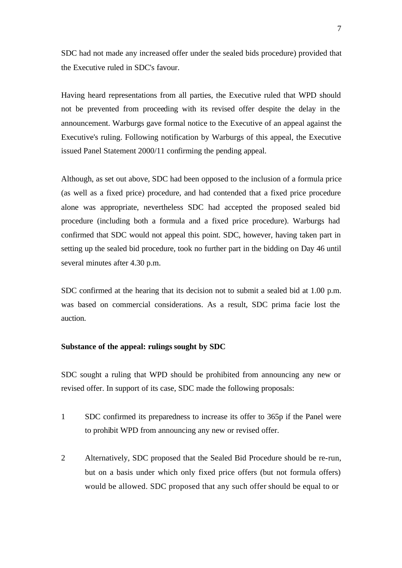SDC had not made any increased offer under the sealed bids procedure) provided that the Executive ruled in SDC's favour.

Having heard representations from all parties, the Executive ruled that WPD should not be prevented from proceeding with its revised offer despite the delay in the announcement. Warburgs gave formal notice to the Executive of an appeal against the Executive's ruling. Following notification by Warburgs of this appeal, the Executive issued Panel Statement 2000/11 confirming the pending appeal.

Although, as set out above, SDC had been opposed to the inclusion of a formula price (as well as a fixed price) procedure, and had contended that a fixed price procedure alone was appropriate, nevertheless SDC had accepted the proposed sealed bid procedure (including both a formula and a fixed price procedure). Warburgs had confirmed that SDC would not appeal this point. SDC, however, having taken part in setting up the sealed bid procedure, took no further part in the bidding on Day 46 until several minutes after 4.30 p.m.

SDC confirmed at the hearing that its decision not to submit a sealed bid at 1.00 p.m. was based on commercial considerations. As a result, SDC prima facie lost the auction.

## **Substance of the appeal: rulings sought by SDC**

SDC sought a ruling that WPD should be prohibited from announcing any new or revised offer. In support of its case, SDC made the following proposals:

- 1 SDC confirmed its preparedness to increase its offer to 365p if the Panel were to prohibit WPD from announcing any new or revised offer.
- 2 Alternatively, SDC proposed that the Sealed Bid Procedure should be re-run, but on a basis under which only fixed price offers (but not formula offers) would be allowed. SDC proposed that any such offer should be equal to or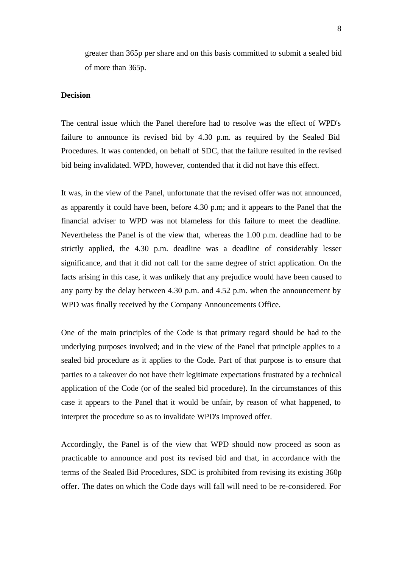greater than 365p per share and on this basis committed to submit a sealed bid of more than 365p.

# **Decision**

The central issue which the Panel therefore had to resolve was the effect of WPD's failure to announce its revised bid by 4.30 p.m. as required by the Sealed Bid Procedures. It was contended, on behalf of SDC, that the failure resulted in the revised bid being invalidated. WPD, however, contended that it did not have this effect.

It was, in the view of the Panel, unfortunate that the revised offer was not announced, as apparently it could have been, before 4.30 p.m; and it appears to the Panel that the financial adviser to WPD was not blameless for this failure to meet the deadline. Nevertheless the Panel is of the view that, whereas the 1.00 p.m. deadline had to be strictly applied, the 4.30 p.m. deadline was a deadline of considerably lesser significance, and that it did not call for the same degree of strict application. On the facts arising in this case, it was unlikely that any prejudice would have been caused to any party by the delay between 4.30 p.m. and 4.52 p.m. when the announcement by WPD was finally received by the Company Announcements Office.

One of the main principles of the Code is that primary regard should be had to the underlying purposes involved; and in the view of the Panel that principle applies to a sealed bid procedure as it applies to the Code. Part of that purpose is to ensure that parties to a takeover do not have their legitimate expectations frustrated by a technical application of the Code (or of the sealed bid procedure). In the circumstances of this case it appears to the Panel that it would be unfair, by reason of what happened, to interpret the procedure so as to invalidate WPD's improved offer.

Accordingly, the Panel is of the view that WPD should now proceed as soon as practicable to announce and post its revised bid and that, in accordance with the terms of the Sealed Bid Procedures, SDC is prohibited from revising its existing 360p offer. The dates on which the Code days will fall will need to be re-considered. For